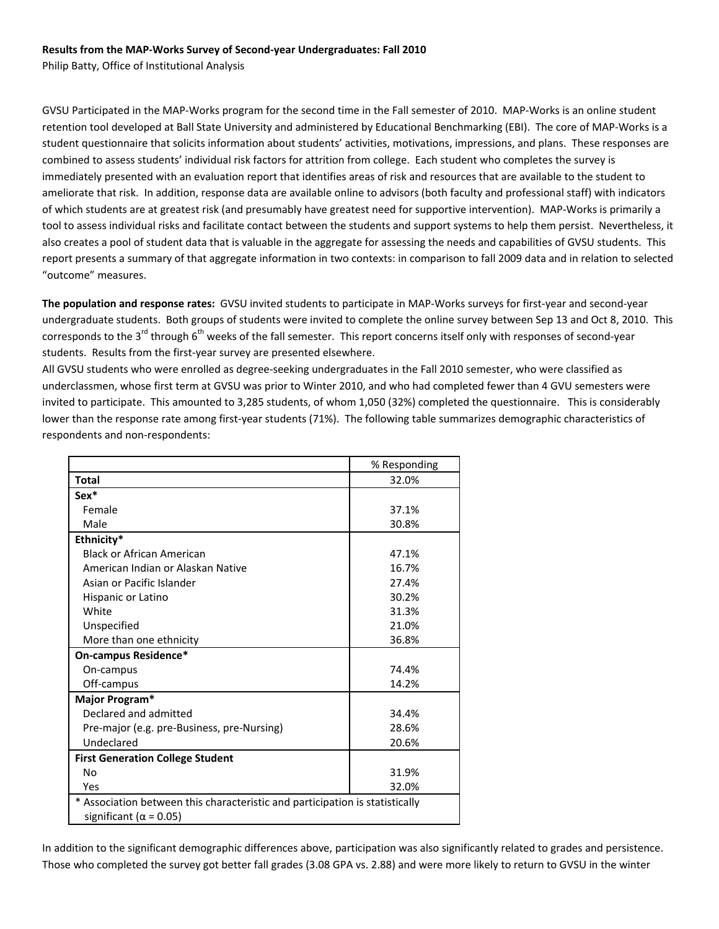# **Results from the MAP‐Works Survey of Second‐year Undergraduates: Fall 2010**

Philip Batty, Office of Institutional Analysis

GVSU Participated in the MAP‐Works program for the second time in the Fall semester of 2010. MAP‐Works is an online student retention tool developed at Ball State University and administered by Educational Benchmarking (EBI). The core of MAP‐Works is a student questionnaire that solicits information about students' activities, motivations, impressions, and plans. These responses are combined to assess students' individual risk factors for attrition from college. Each student who completes the survey is immediately presented with an evaluation report that identifies areas of risk and resources that are available to the student to ameliorate that risk. In addition, response data are available online to advisors (both faculty and professional staff) with indicators of which students are at greatest risk (and presumably have greatest need for supportive intervention). MAP‐Works is primarily a tool to assess individual risks and facilitate contact between the students and support systems to help them persist. Nevertheless, it also creates a pool of student data that is valuable in the aggregate for assessing the needs and capabilities of GVSU students. This report presents a summary of that aggregate information in two contexts: in comparison to fall 2009 data and in relation to selected "outcome" measures.

**The population and response rates:** GVSU invited students to participate in MAP‐Works surveys for first‐year and second‐year undergraduate students. Both groups of students were invited to complete the online survey between Sep 13 and Oct 8, 2010. This corresponds to the 3<sup>rd</sup> through 6<sup>th</sup> weeks of the fall semester. This report concerns itself only with responses of second-year students. Results from the first-year survey are presented elsewhere.

All GVSU students who were enrolled as degree‐seeking undergraduates in the Fall 2010 semester, who were classified as underclassmen, whose first term at GVSU was prior to Winter 2010, and who had completed fewer than 4 GVU semesters were invited to participate. This amounted to 3,285 students, of whom 1,050 (32%) completed the questionnaire. This is considerably lower than the response rate among first-year students (71%). The following table summarizes demographic characteristics of respondents and non‐respondents:

|                                                                              | % Responding |  |  |
|------------------------------------------------------------------------------|--------------|--|--|
| <b>Total</b>                                                                 | 32.0%        |  |  |
| Sex*                                                                         |              |  |  |
| Female                                                                       | 37.1%        |  |  |
| Male                                                                         | 30.8%        |  |  |
| Ethnicity*                                                                   |              |  |  |
| <b>Black or African American</b>                                             | 47.1%        |  |  |
| American Indian or Alaskan Native                                            | 16.7%        |  |  |
| Asian or Pacific Islander                                                    | 27.4%        |  |  |
| Hispanic or Latino                                                           | 30.2%        |  |  |
| White                                                                        | 31.3%        |  |  |
| Unspecified                                                                  | 21.0%        |  |  |
| More than one ethnicity                                                      | 36.8%        |  |  |
| On-campus Residence*                                                         |              |  |  |
| On-campus                                                                    | 74.4%        |  |  |
| Off-campus                                                                   | 14.2%        |  |  |
| Major Program*                                                               |              |  |  |
| Declared and admitted                                                        | 34.4%        |  |  |
| Pre-major (e.g. pre-Business, pre-Nursing)                                   | 28.6%        |  |  |
| Undeclared                                                                   | 20.6%        |  |  |
| <b>First Generation College Student</b>                                      |              |  |  |
| No                                                                           | 31.9%        |  |  |
| Yes                                                                          | 32.0%        |  |  |
| * Association between this characteristic and participation is statistically |              |  |  |
| significant ( $\alpha$ = 0.05)                                               |              |  |  |

In addition to the significant demographic differences above, participation was also significantly related to grades and persistence. Those who completed the survey got better fall grades (3.08 GPA vs. 2.88) and were more likely to return to GVSU in the winter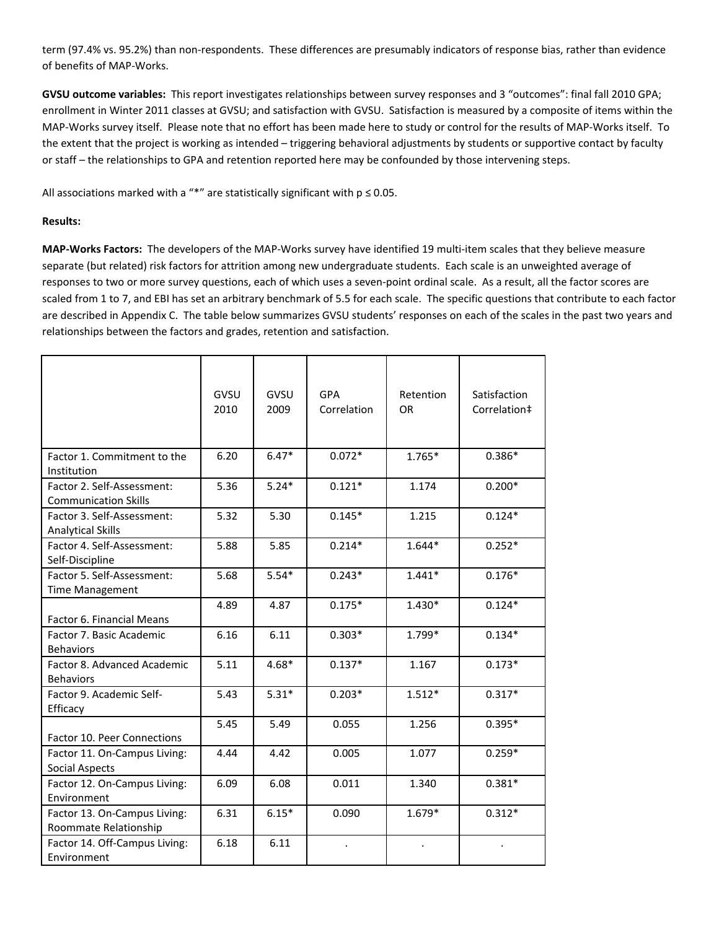term (97.4% vs. 95.2%) than non‐respondents. These differences are presumably indicators of response bias, rather than evidence of benefits of MAP‐Works.

**GVSU outcome variables:** This report investigates relationships between survey responses and 3 "outcomes": final fall 2010 GPA; enrollment in Winter 2011 classes at GVSU; and satisfaction with GVSU. Satisfaction is measured by a composite of items within the MAP‐Works survey itself. Please note that no effort has been made here to study or control for the results of MAP‐Works itself. To the extent that the project is working as intended – triggering behavioral adjustments by students or supportive contact by faculty or staff – the relationships to GPA and retention reported here may be confounded by those intervening steps.

All associations marked with a "\*" are statistically significant with  $p \le 0.05$ .

# **Results:**

**MAP‐Works Factors:** The developers of the MAP‐Works survey have identified 19 multi‐item scales that they believe measure separate (but related) risk factors for attrition among new undergraduate students. Each scale is an unweighted average of responses to two or more survey questions, each of which uses a seven-point ordinal scale. As a result, all the factor scores are scaled from 1 to 7, and EBI has set an arbitrary benchmark of 5.5 for each scale. The specific questions that contribute to each factor are described in Appendix C. The table below summarizes GVSU students' responses on each of the scales in the past two years and relationships between the factors and grades, retention and satisfaction.

|                                                           | GVSU<br>2010 | GVSU<br>2009 | <b>GPA</b><br>Correlation | Retention<br>OR | Satisfaction<br>Correlation‡ |
|-----------------------------------------------------------|--------------|--------------|---------------------------|-----------------|------------------------------|
| Factor 1. Commitment to the<br>Institution                | 6.20         | $6.47*$      | $0.072*$                  | $1.765*$        | $0.386*$                     |
| Factor 2. Self-Assessment:<br><b>Communication Skills</b> | 5.36         | $5.24*$      | $0.121*$                  | 1.174           | $0.200*$                     |
| Factor 3. Self-Assessment:<br><b>Analytical Skills</b>    | 5.32         | 5.30         | $0.145*$                  | 1.215           | $0.124*$                     |
| Factor 4. Self-Assessment:<br>Self-Discipline             | 5.88         | 5.85         | $0.214*$                  | 1.644*          | $0.252*$                     |
| Factor 5. Self-Assessment:<br><b>Time Management</b>      | 5.68         | $5.54*$      | $0.243*$                  | $1.441*$        | $0.176*$                     |
| Factor 6. Financial Means                                 | 4.89         | 4.87         | $0.175*$                  | $1.430*$        | $0.124*$                     |
| Factor 7. Basic Academic<br><b>Behaviors</b>              | 6.16         | 6.11         | $0.303*$                  | 1.799*          | $0.134*$                     |
| Factor 8. Advanced Academic<br><b>Behaviors</b>           | 5.11         | $4.68*$      | $0.137*$                  | 1.167           | $0.173*$                     |
| Factor 9. Academic Self-<br>Efficacy                      | 5.43         | $5.31*$      | $0.203*$                  | $1.512*$        | $0.317*$                     |
| <b>Factor 10. Peer Connections</b>                        | 5.45         | 5.49         | 0.055                     | 1.256           | $0.395*$                     |
| Factor 11. On-Campus Living:<br><b>Social Aspects</b>     | 4.44         | 4.42         | 0.005                     | 1.077           | $0.259*$                     |
| Factor 12. On-Campus Living:<br>Environment               | 6.09         | 6.08         | 0.011                     | 1.340           | $0.381*$                     |
| Factor 13. On-Campus Living:<br>Roommate Relationship     | 6.31         | $6.15*$      | 0.090                     | $1.679*$        | $0.312*$                     |
| Factor 14. Off-Campus Living:<br>Environment              | 6.18         | 6.11         | $\bullet$                 |                 |                              |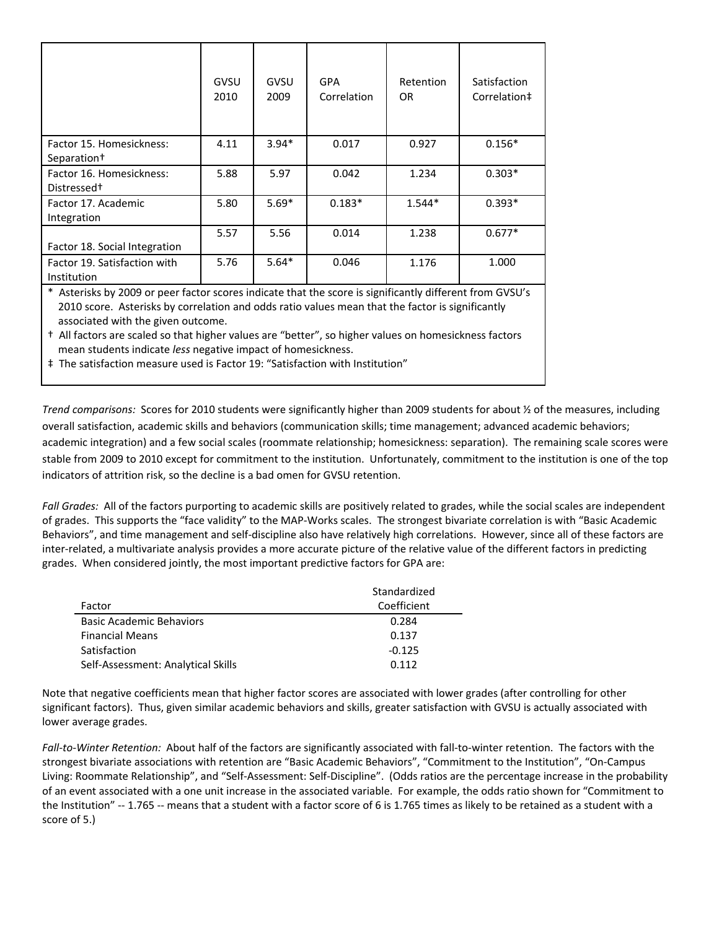|                                                     | GVSU<br>2010 | GVSU<br>2009 | GPA<br>Correlation | Retention<br>0R | Satisfaction<br>Correlation‡ |
|-----------------------------------------------------|--------------|--------------|--------------------|-----------------|------------------------------|
| Factor 15. Homesickness:<br>Separation <sup>+</sup> | 4.11         | $3.94*$      | 0.017              | 0.927           | $0.156*$                     |
| Factor 16. Homesickness:<br>Distressed <sup>+</sup> | 5.88         | 5.97         | 0.042              | 1.234           | $0.303*$                     |
| Factor 17. Academic<br>Integration                  | 5.80         | $5.69*$      | $0.183*$           | $1.544*$        | $0.393*$                     |
| Factor 18. Social Integration                       | 5.57         | 5.56         | 0.014              | 1.238           | $0.677*$                     |
| Factor 19. Satisfaction with<br>Institution         | 5.76         | $5.64*$      | 0.046              | 1.176           | 1.000                        |

\* Asterisks by 2009 or peer factor scores indicate that the score is significantly different from GVSU's 2010 score. Asterisks by correlation and odds ratio values mean that the factor is significantly associated with the given outcome.

† All factors are scaled so that higher values are "better", so higher values on homesickness factors mean students indicate *less* negative impact of homesickness.

‡ The satisfaction measure used is Factor 19: "Satisfaction with Institution"

*Trend comparisons:* Scores for 2010 students were significantly higher than 2009 students for about ½ of the measures, including overall satisfaction, academic skills and behaviors (communication skills; time management; advanced academic behaviors; academic integration) and a few social scales (roommate relationship; homesickness: separation). The remaining scale scores were stable from 2009 to 2010 except for commitment to the institution. Unfortunately, commitment to the institution is one of the top indicators of attrition risk, so the decline is a bad omen for GVSU retention.

Fall Grades: All of the factors purporting to academic skills are positively related to grades, while the social scales are independent of grades. This supports the "face validity" to the MAP‐Works scales. The strongest bivariate correlation is with "Basic Academic Behaviors", and time management and self‐discipline also have relatively high correlations. However, since all of these factors are inter-related, a multivariate analysis provides a more accurate picture of the relative value of the different factors in predicting grades. When considered jointly, the most important predictive factors for GPA are:

|                                    | Standardized |
|------------------------------------|--------------|
| Factor                             | Coefficient  |
| <b>Basic Academic Behaviors</b>    | 0.284        |
| <b>Financial Means</b>             | 0.137        |
| Satisfaction                       | $-0.125$     |
| Self-Assessment: Analytical Skills | 0 112        |

Note that negative coefficients mean that higher factor scores are associated with lower grades (after controlling for other significant factors). Thus, given similar academic behaviors and skills, greater satisfaction with GVSU is actually associated with lower average grades.

*Fall‐to‐Winter Retention:* About half of the factors are significantly associated with fall‐to‐winter retention. The factors with the strongest bivariate associations with retention are "Basic Academic Behaviors", "Commitment to the Institution", "On‐Campus Living: Roommate Relationship", and "Self‐Assessment: Self‐Discipline". (Odds ratios are the percentage increase in the probability of an event associated with a one unit increase in the associated variable. For example, the odds ratio shown for "Commitment to the Institution" ‐‐ 1.765 ‐‐ means that a student with a factor score of 6 is 1.765 times as likely to be retained as a student with a score of 5.)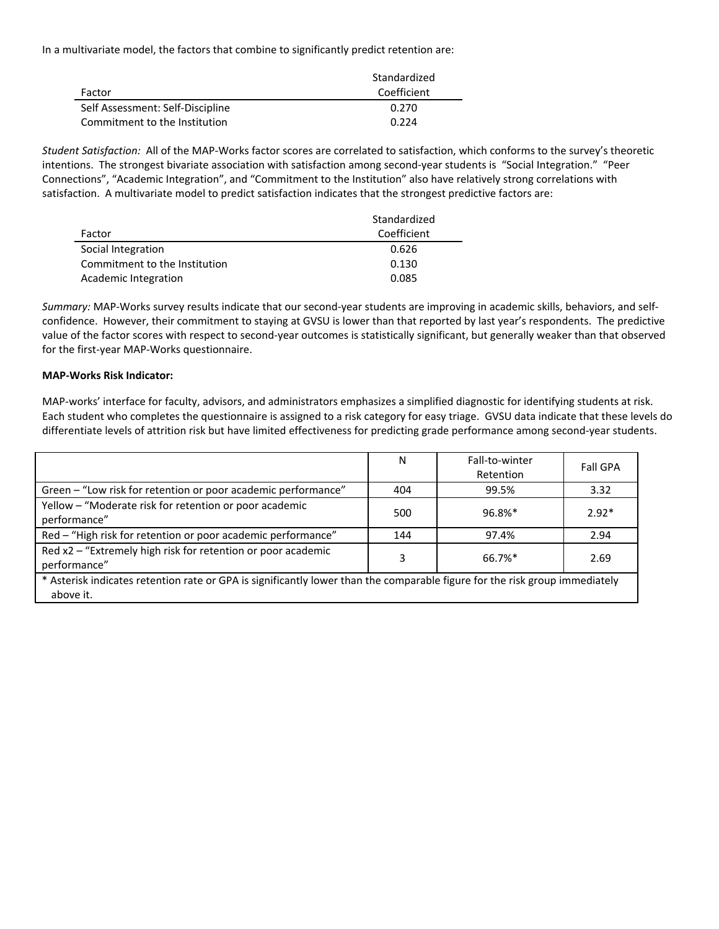In a multivariate model, the factors that combine to significantly predict retention are:

|                                  | Standardized |
|----------------------------------|--------------|
| Factor                           | Coefficient  |
| Self Assessment: Self-Discipline | 0.270        |
| Commitment to the Institution    | 0.224        |

*Student Satisfaction:* All of the MAP‐Works factor scores are correlated to satisfaction, which conforms to the survey's theoretic intentions. The strongest bivariate association with satisfaction among second-year students is "Social Integration." "Peer Connections", "Academic Integration", and "Commitment to the Institution" also have relatively strong correlations with satisfaction. A multivariate model to predict satisfaction indicates that the strongest predictive factors are:

|                               | Standardized |
|-------------------------------|--------------|
| Factor                        | Coefficient  |
| Social Integration            | 0.626        |
| Commitment to the Institution | 0.130        |
| Academic Integration          | 0.085        |

*Summary:* MAP‐Works survey results indicate that our second‐year students are improving in academic skills, behaviors, and self‐ confidence. However, their commitment to staying at GVSU is lower than that reported by last year's respondents. The predictive value of the factor scores with respect to second-year outcomes is statistically significant, but generally weaker than that observed for the first‐year MAP‐Works questionnaire.

# **MAP‐Works Risk Indicator:**

MAP‐works' interface for faculty, advisors, and administrators emphasizes a simplified diagnostic for identifying students at risk. Each student who completes the questionnaire is assigned to a risk category for easy triage. GVSU data indicate that these levels do differentiate levels of attrition risk but have limited effectiveness for predicting grade performance among second‐year students.

|                                                                                                                                          | N   | Fall-to-winter<br>Retention | <b>Fall GPA</b> |
|------------------------------------------------------------------------------------------------------------------------------------------|-----|-----------------------------|-----------------|
| Green - "Low risk for retention or poor academic performance"                                                                            | 404 | 99.5%                       | 3.32            |
| Yellow - "Moderate risk for retention or poor academic<br>performance"                                                                   | 500 | 96.8%*                      | $2.92*$         |
| Red - "High risk for retention or poor academic performance"                                                                             | 144 | 97.4%                       | 2.94            |
| Red x2 - "Extremely high risk for retention or poor academic<br>performance"                                                             | 3   | 66.7%                       | 2.69            |
| * Asterisk indicates retention rate or GPA is significantly lower than the comparable figure for the risk group immediately<br>above it. |     |                             |                 |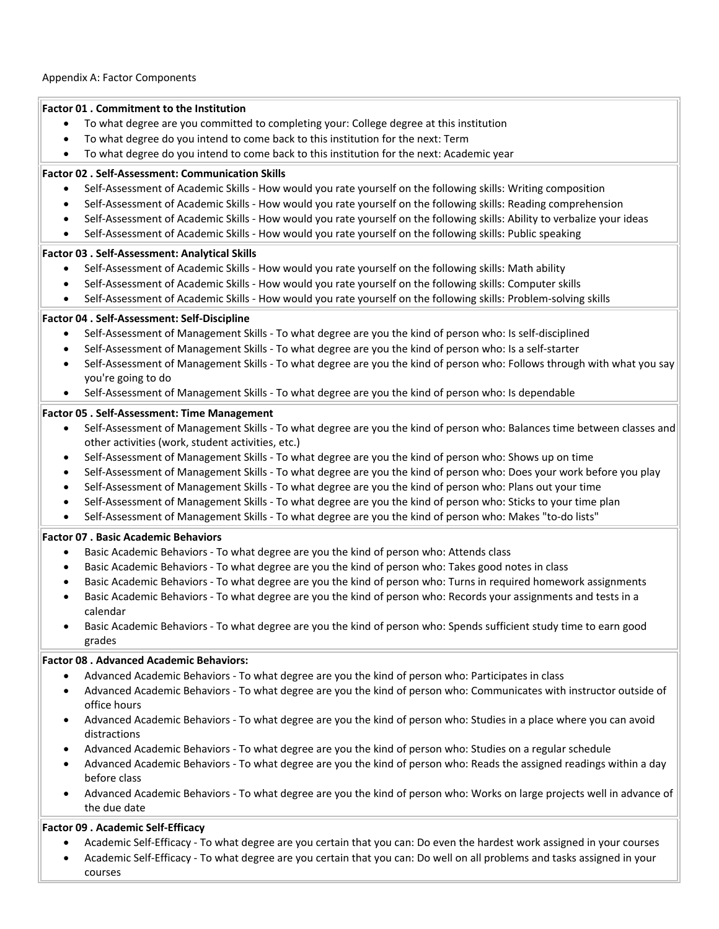### **Factor 01 . Commitment to the Institution**

- To what degree are you committed to completing your: College degree at this institution
- To what degree do you intend to come back to this institution for the next: Term
- To what degree do you intend to come back to this institution for the next: Academic year

### **Factor 02 . Self‐Assessment: Communication Skills**

- Self‐Assessment of Academic Skills ‐ How would you rate yourself on the following skills: Writing composition
- Self‐Assessment of Academic Skills ‐ How would you rate yourself on the following skills: Reading comprehension
- Self‐Assessment of Academic Skills ‐ How would you rate yourself on the following skills: Ability to verbalize your ideas
- Self‐Assessment of Academic Skills ‐ How would you rate yourself on the following skills: Public speaking

# **Factor 03 . Self‐Assessment: Analytical Skills**

- Self-Assessment of Academic Skills How would you rate yourself on the following skills: Math ability
- Self‐Assessment of Academic Skills ‐ How would you rate yourself on the following skills: Computer skills
- Self‐Assessment of Academic Skills ‐ How would you rate yourself on the following skills: Problem‐solving skills

# **Factor 04 . Self‐Assessment: Self‐Discipline**

- Self‐Assessment of Management Skills ‐ To what degree are you the kind of person who: Is self‐disciplined
- Self‐Assessment of Management Skills ‐ To what degree are you the kind of person who: Is a self‐starter
- Self‐Assessment of Management Skills ‐ To what degree are you the kind of person who: Follows through with what you say you're going to do
- Self‐Assessment of Management Skills ‐ To what degree are you the kind of person who: Is dependable

# **Factor 05 . Self‐Assessment: Time Management**

- Self-Assessment of Management Skills To what degree are you the kind of person who: Balances time between classes and other activities (work, student activities, etc.)
- Self‐Assessment of Management Skills ‐ To what degree are you the kind of person who: Shows up on time
- Self‐Assessment of Management Skills ‐ To what degree are you the kind of person who: Does your work before you play
- Self‐Assessment of Management Skills ‐ To what degree are you the kind of person who: Plans out your time
- Self‐Assessment of Management Skills ‐ To what degree are you the kind of person who: Sticks to your time plan
- Self‐Assessment of Management Skills ‐ To what degree are you the kind of person who: Makes "to‐do lists"

#### **Factor 07 . Basic Academic Behaviors**

- Basic Academic Behaviors ‐ To what degree are you the kind of person who: Attends class
- Basic Academic Behaviors ‐ To what degree are you the kind of person who: Takes good notes in class
- Basic Academic Behaviors ‐ To what degree are you the kind of person who: Turns in required homework assignments
- Basic Academic Behaviors ‐ To what degree are you the kind of person who: Records your assignments and tests in a calendar
- Basic Academic Behaviors ‐ To what degree are you the kind of person who: Spends sufficient study time to earn good grades

# **Factor 08 . Advanced Academic Behaviors:**

- Advanced Academic Behaviors ‐ To what degree are you the kind of person who: Participates in class
- Advanced Academic Behaviors ‐ To what degree are you the kind of person who: Communicates with instructor outside of office hours
- Advanced Academic Behaviors ‐ To what degree are you the kind of person who: Studies in a place where you can avoid distractions
- Advanced Academic Behaviors ‐ To what degree are you the kind of person who: Studies on a regular schedule
- Advanced Academic Behaviors ‐ To what degree are you the kind of person who: Reads the assigned readings within a day before class
- Advanced Academic Behaviors ‐ To what degree are you the kind of person who: Works on large projects well in advance of the due date

# **Factor 09 . Academic Self‐Efficacy**

- Academic Self‐Efficacy ‐ To what degree are you certain that you can: Do even the hardest work assigned in your courses
- Academic Self‐Efficacy ‐ To what degree are you certain that you can: Do well on all problems and tasks assigned in your courses